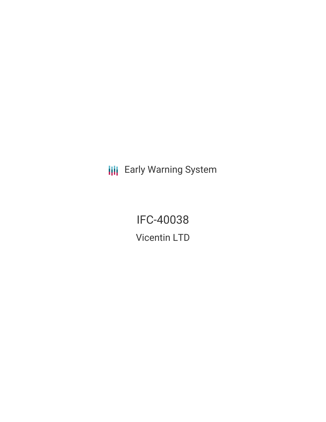**III** Early Warning System

IFC-40038 Vicentin LTD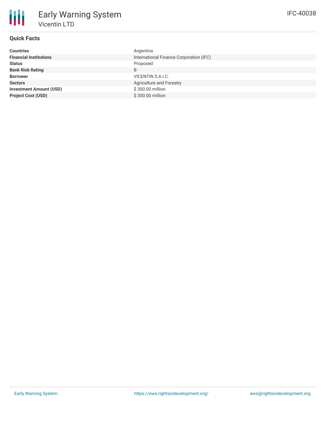| <b>Countries</b>               | Argentina                               |
|--------------------------------|-----------------------------------------|
| <b>Financial Institutions</b>  | International Finance Corporation (IFC) |
| <b>Status</b>                  | Proposed                                |
| <b>Bank Risk Rating</b>        | B                                       |
| <b>Borrower</b>                | VICENTIN S.A.I.C.                       |
| <b>Sectors</b>                 | Agriculture and Forestry                |
| <b>Investment Amount (USD)</b> | \$300.00 million                        |
| <b>Project Cost (USD)</b>      | \$300,00 million                        |
|                                |                                         |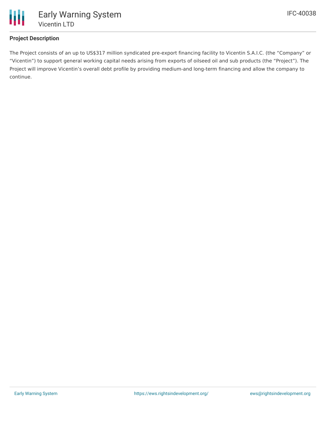

## **Project Description**

The Project consists of an up to US\$317 million syndicated pre-export financing facility to Vicentin S.A.I.C. (the "Company" or "Vicentin") to support general working capital needs arising from exports of oilseed oil and sub products (the "Project"). The Project will improve Vicentin's overall debt profile by providing medium-and long-term financing and allow the company to continue.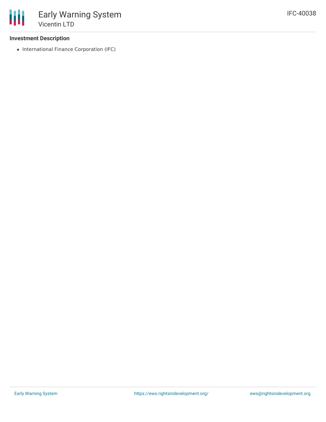• International Finance Corporation (IFC)